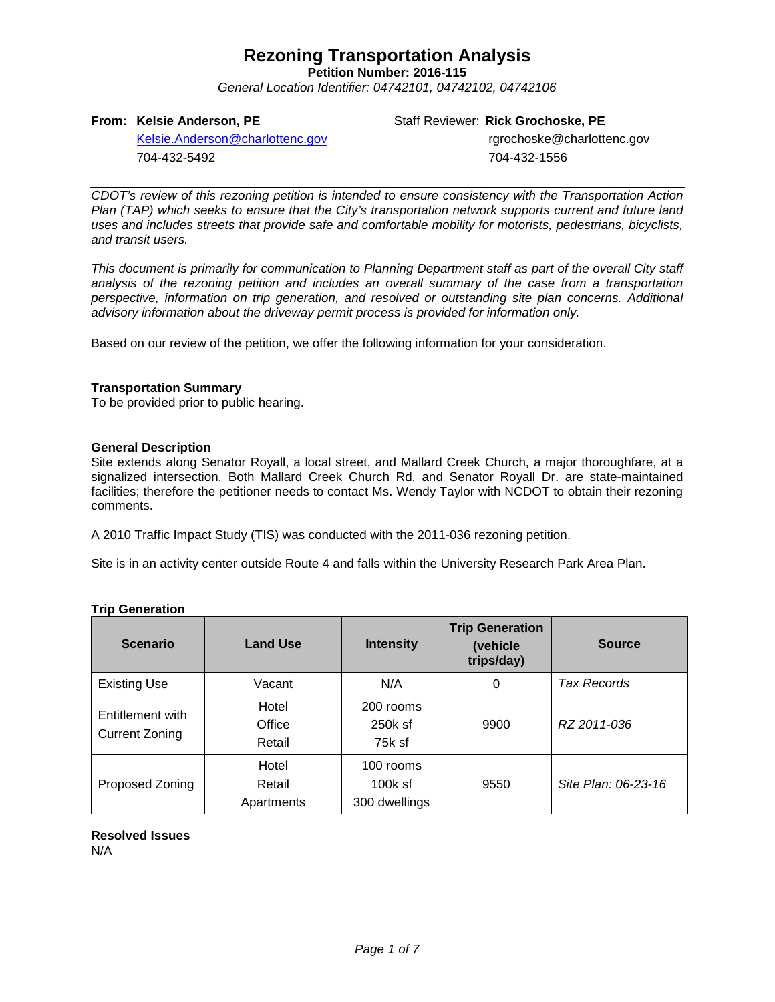**Petition Number: 2016-115**

*General Location Identifier: 04742101, 04742102, 04742106*

### **From: Kelsie Anderson, PE**

Staff Reviewer: **Rick Grochoske, PE**

[Kelsie.Anderson@charlottenc.gov](mailto:Kelsie.Anderson@charlottenc.gov) 704-432-5492

rgrochoske@charlottenc.gov 704-432-1556

*CDOT's review of this rezoning petition is intended to ensure consistency with the Transportation Action Plan (TAP) which seeks to ensure that the City's transportation network supports current and future land uses and includes streets that provide safe and comfortable mobility for motorists, pedestrians, bicyclists, and transit users.*

*This document is primarily for communication to Planning Department staff as part of the overall City staff analysis of the rezoning petition and includes an overall summary of the case from a transportation perspective, information on trip generation, and resolved or outstanding site plan concerns. Additional advisory information about the driveway permit process is provided for information only.*

Based on our review of the petition, we offer the following information for your consideration.

### **Transportation Summary**

To be provided prior to public hearing.

### **General Description**

Site extends along Senator Royall, a local street, and Mallard Creek Church, a major thoroughfare, at a signalized intersection. Both Mallard Creek Church Rd. and Senator Royall Dr. are state-maintained facilities; therefore the petitioner needs to contact Ms. Wendy Taylor with NCDOT to obtain their rezoning comments.

A 2010 Traffic Impact Study (TIS) was conducted with the 2011-036 rezoning petition.

Site is in an activity center outside Route 4 and falls within the University Research Park Area Plan.

| <b>Scenario</b>                           | <b>Land Use</b>               | <b>Intensity</b>                        | <b>Trip Generation</b><br>(vehicle<br>trips/day) | <b>Source</b>       |
|-------------------------------------------|-------------------------------|-----------------------------------------|--------------------------------------------------|---------------------|
| <b>Existing Use</b>                       | Vacant                        | N/A                                     | 0                                                | Tax Records         |
| Entitlement with<br><b>Current Zoning</b> | Hotel<br>Office<br>Retail     | 200 rooms<br>250k sf<br>75k sf          | 9900                                             | RZ 2011-036         |
| Proposed Zoning                           | Hotel<br>Retail<br>Apartments | 100 rooms<br>$100k$ sf<br>300 dwellings | 9550                                             | Site Plan: 06-23-16 |

### **Trip Generation**

**Resolved Issues** N/A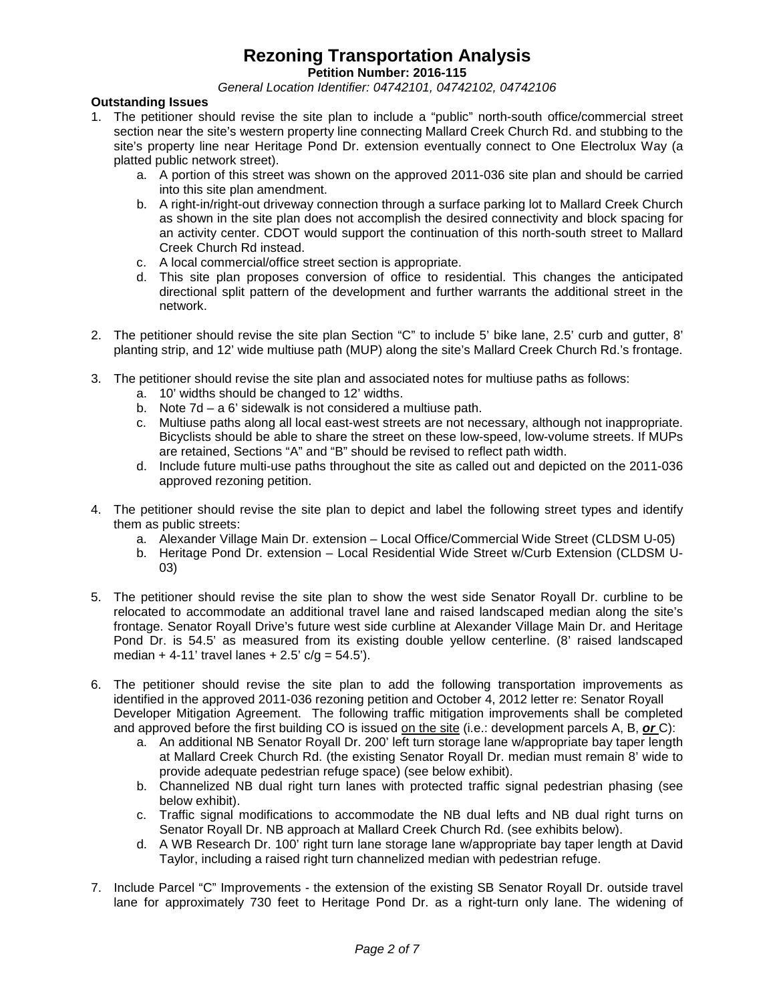**Petition Number: 2016-115**

*General Location Identifier: 04742101, 04742102, 04742106*

### **Outstanding Issues**

- 1. The petitioner should revise the site plan to include a "public" north-south office/commercial street section near the site's western property line connecting Mallard Creek Church Rd. and stubbing to the site's property line near Heritage Pond Dr. extension eventually connect to One Electrolux Way (a platted public network street).
	- a. A portion of this street was shown on the approved 2011-036 site plan and should be carried into this site plan amendment.
	- b. A right-in/right-out driveway connection through a surface parking lot to Mallard Creek Church as shown in the site plan does not accomplish the desired connectivity and block spacing for an activity center. CDOT would support the continuation of this north-south street to Mallard Creek Church Rd instead.
	- c. A local commercial/office street section is appropriate.
	- d. This site plan proposes conversion of office to residential. This changes the anticipated directional split pattern of the development and further warrants the additional street in the network.
- 2. The petitioner should revise the site plan Section "C" to include 5' bike lane, 2.5' curb and gutter, 8' planting strip, and 12' wide multiuse path (MUP) along the site's Mallard Creek Church Rd.'s frontage.
- 3. The petitioner should revise the site plan and associated notes for multiuse paths as follows:
	- a. 10' widths should be changed to 12' widths.
	- b. Note 7d a 6' sidewalk is not considered a multiuse path.
	- c. Multiuse paths along all local east-west streets are not necessary, although not inappropriate. Bicyclists should be able to share the street on these low-speed, low-volume streets. If MUPs are retained, Sections "A" and "B" should be revised to reflect path width.
	- d. Include future multi-use paths throughout the site as called out and depicted on the 2011-036 approved rezoning petition.
- 4. The petitioner should revise the site plan to depict and label the following street types and identify them as public streets:
	- a. Alexander Village Main Dr. extension Local Office/Commercial Wide Street (CLDSM U-05)
	- b. Heritage Pond Dr. extension Local Residential Wide Street w/Curb Extension (CLDSM U-03)
- 5. The petitioner should revise the site plan to show the west side Senator Royall Dr. curbline to be relocated to accommodate an additional travel lane and raised landscaped median along the site's frontage. Senator Royall Drive's future west side curbline at Alexander Village Main Dr. and Heritage Pond Dr. is 54.5' as measured from its existing double yellow centerline. (8' raised landscaped median + 4-11' travel lanes + 2.5'  $c/g = 54.5'$ ).
- 6. The petitioner should revise the site plan to add the following transportation improvements as identified in the approved 2011-036 rezoning petition and October 4, 2012 letter re: Senator Royall Developer Mitigation Agreement. The following traffic mitigation improvements shall be completed and approved before the first building CO is issued on the site (i.e.: development parcels A, B, *or* C):
	- a. An additional NB Senator Royall Dr. 200' left turn storage lane w/appropriate bay taper length at Mallard Creek Church Rd. (the existing Senator Royall Dr. median must remain 8' wide to provide adequate pedestrian refuge space) (see below exhibit).
	- b. Channelized NB dual right turn lanes with protected traffic signal pedestrian phasing (see below exhibit).
	- c. Traffic signal modifications to accommodate the NB dual lefts and NB dual right turns on Senator Royall Dr. NB approach at Mallard Creek Church Rd. (see exhibits below).
	- d. A WB Research Dr. 100' right turn lane storage lane w/appropriate bay taper length at David Taylor, including a raised right turn channelized median with pedestrian refuge.
- 7. Include Parcel "C" Improvements the extension of the existing SB Senator Royall Dr. outside travel lane for approximately 730 feet to Heritage Pond Dr. as a right-turn only lane. The widening of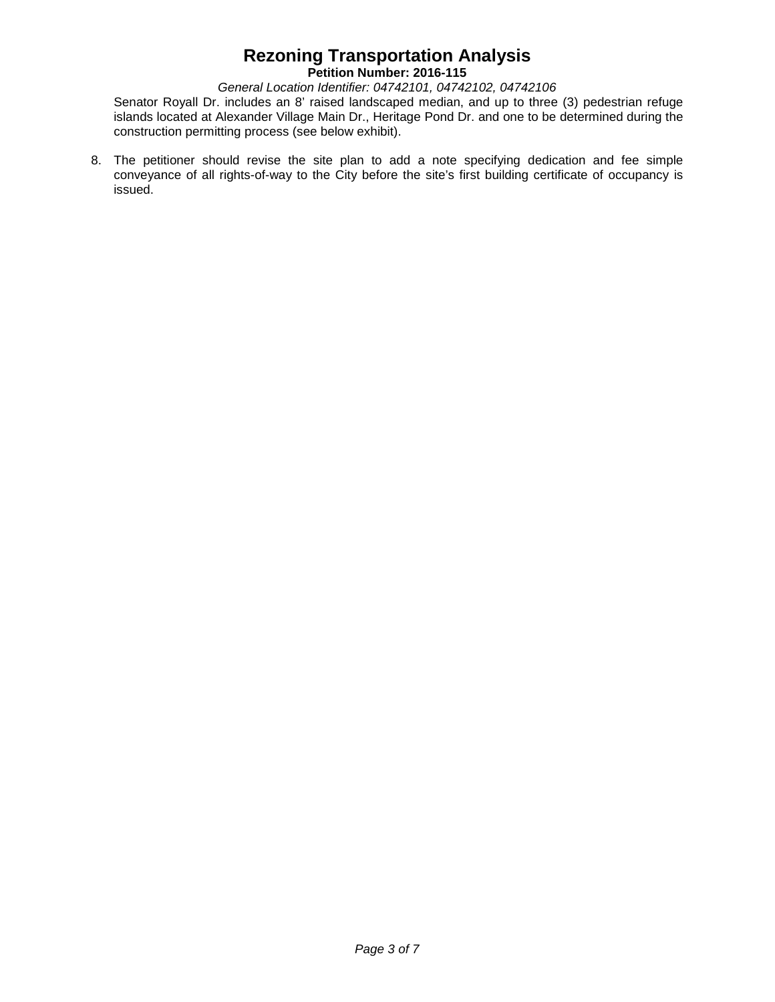**Petition Number: 2016-115**

*General Location Identifier: 04742101, 04742102, 04742106*

Senator Royall Dr. includes an 8' raised landscaped median, and up to three (3) pedestrian refuge islands located at Alexander Village Main Dr., Heritage Pond Dr. and one to be determined during the construction permitting process (see below exhibit).

8. The petitioner should revise the site plan to add a note specifying dedication and fee simple conveyance of all rights-of-way to the City before the site's first building certificate of occupancy is issued.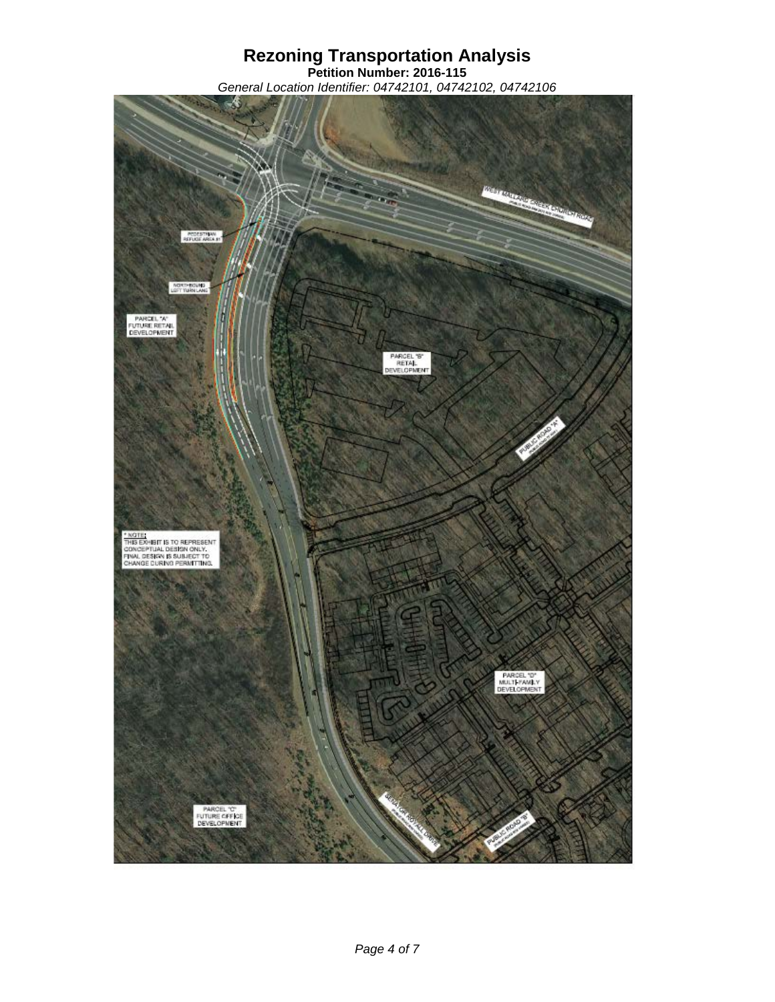**Petition Number: 2016-115** *General Location Identifier: 04742101, 04742102, 04742106*

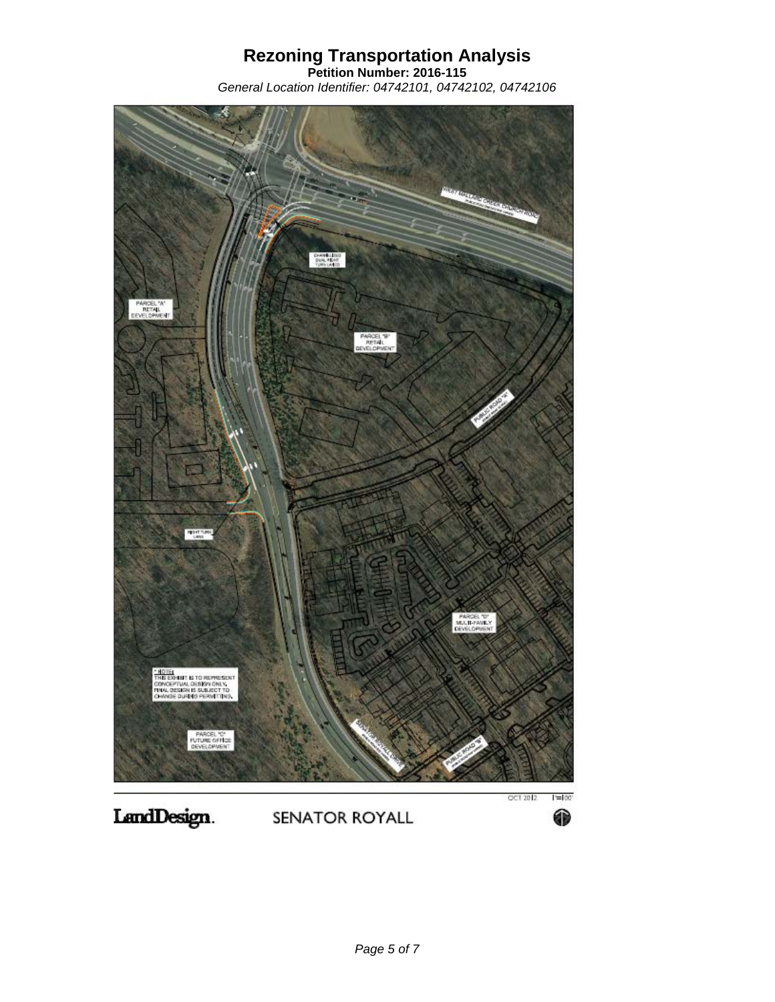**Petition Number: 2016-115** *General Location Identifier: 04742101, 04742102, 04742106*

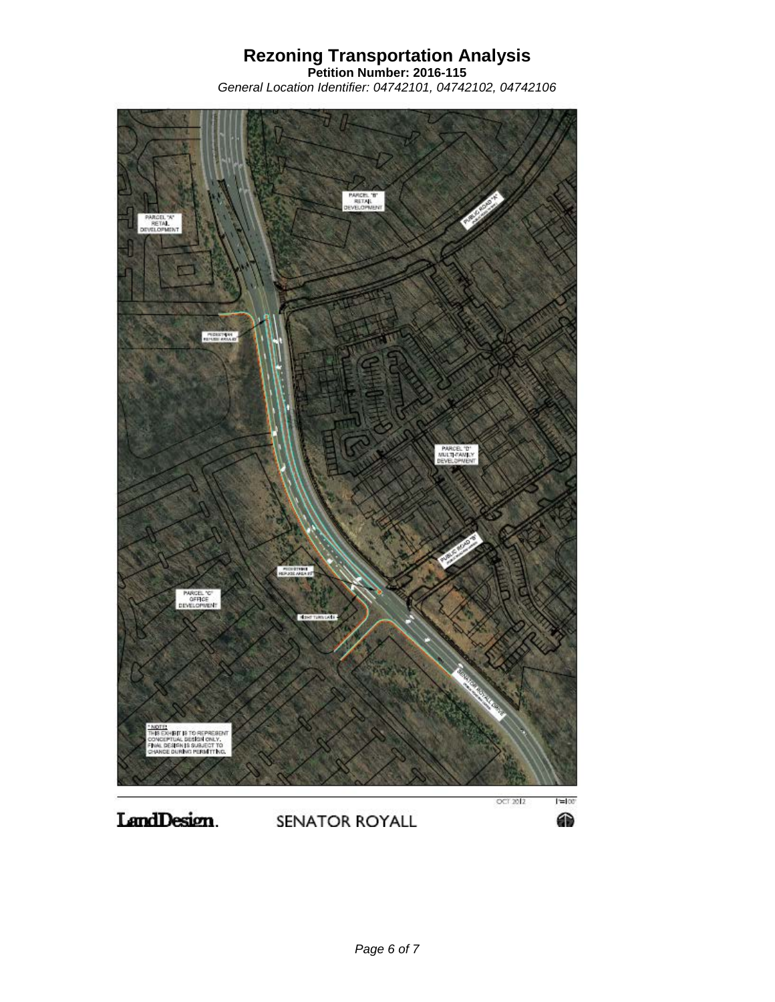**Petition Number: 2016-115** *General Location Identifier: 04742101, 04742102, 04742106*



LandDesign. SENATOR ROYALL